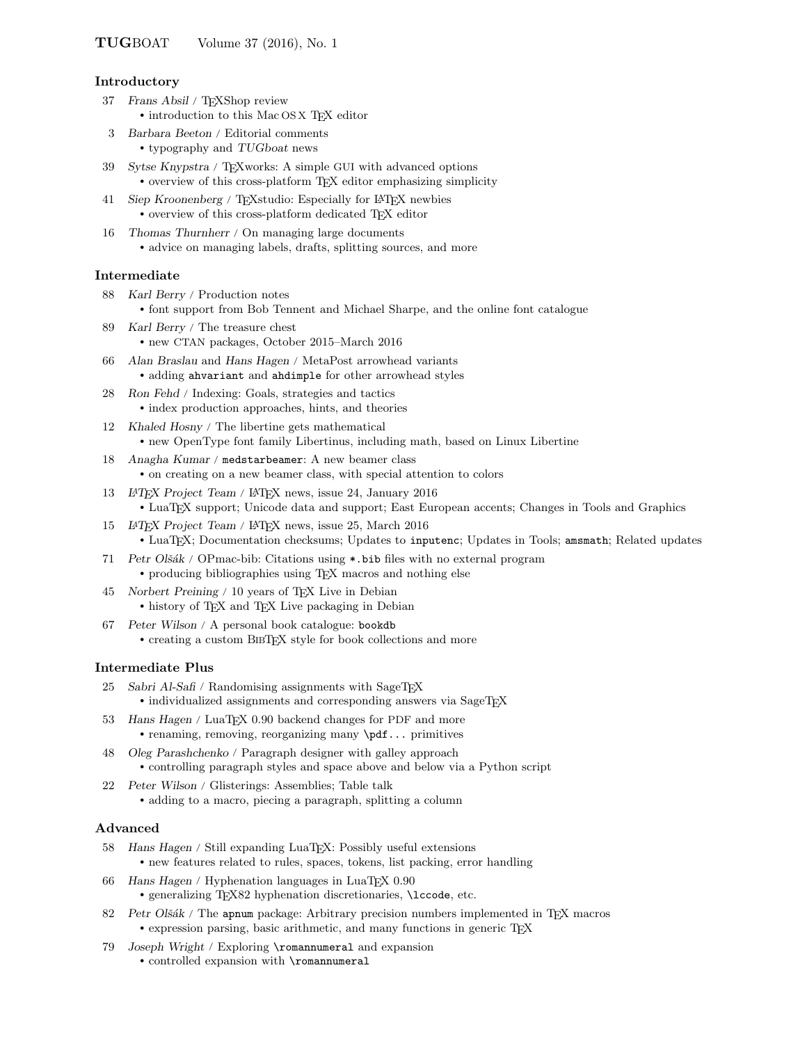### Introductory

- 37 Frans Absil / TEXShop review • introduction to this Mac OS X TFX editor
- 3 Barbara Beeton / Editorial comments • typography and TUGboat news
- 39 Sytse Knypstra / TEXworks: A simple GUI with advanced options • overview of this cross-platform TEX editor emphasizing simplicity
- 41 Siep Kroonenberg / TEXstudio: Especially for LATEX newbies • overview of this cross-platform dedicated TEX editor
- 16 Thomas Thurnherr / On managing large documents • advice on managing labels, drafts, splitting sources, and more

### Intermediate

- 88 Karl Berry / Production notes • font support from Bob Tennent and Michael Sharpe, and the online font catalogue
- 89 Karl Berry / The treasure chest • new CTAN packages, October 2015–March 2016
- 66 Alan Braslau and Hans Hagen / MetaPost arrowhead variants • adding ahvariant and ahdimple for other arrowhead styles
- 28 Ron Fehd / Indexing: Goals, strategies and tactics • index production approaches, hints, and theories
- 12 Khaled Hosny / The libertine gets mathematical • new OpenType font family Libertinus, including math, based on Linux Libertine
- 18 Anagha Kumar / medstarbeamer: A new beamer class • on creating on a new beamer class, with special attention to colors
- 13 LATEX Project Team / L<sup>A</sup>TEX news, issue 24, January 2016 • LuaTEX support; Unicode data and support; East European accents; Changes in Tools and Graphics
- 15 LATEX Project Team / L<sup>A</sup>TEX news, issue 25, March 2016 • LuaTEX; Documentation checksums; Updates to inputenc; Updates in Tools; amsmath; Related updates
- 71 Petr Olšák / OPmac-bib: Citations using  $\ast$  bib files with no external program • producing bibliographies using T<sub>EX</sub> macros and nothing else
- 45 Norbert Preining / 10 years of TEX Live in Debian • history of TEX and TEX Live packaging in Debian
- 67 Peter Wilson / A personal book catalogue: bookdb • creating a custom BIBTEX style for book collections and more

## Intermediate Plus

- 25 Sabri Al-Safi / Randomising assignments with SageTFX • individualized assignments and corresponding answers via SageTEX
- 53 Hans Hagen / LuaT<sub>E</sub>X 0.90 backend changes for PDF and more • renaming, removing, reorganizing many \pdf... primitives
- 48 Oleg Parashchenko / Paragraph designer with galley approach • controlling paragraph styles and space above and below via a Python script
- 22 Peter Wilson / Glisterings: Assemblies; Table talk • adding to a macro, piecing a paragraph, splitting a column

#### Advanced

- 58 Hans Hagen / Still expanding LuaTEX: Possibly useful extensions • new features related to rules, spaces, tokens, list packing, error handling
- 66 Hans Hagen / Hyphenation languages in LuaTEX 0.90 • generalizing T<sub>E</sub>X82 hyphenation discretionaries, **\lccode**, etc.
- 82 Petr Olšák / The apnum package: Arbitrary precision numbers implemented in TEX macros • expression parsing, basic arithmetic, and many functions in generic T<sub>E</sub>X
- 79 Joseph Wright / Exploring \romannumeral and expansion
	- controlled expansion with \romannumeral